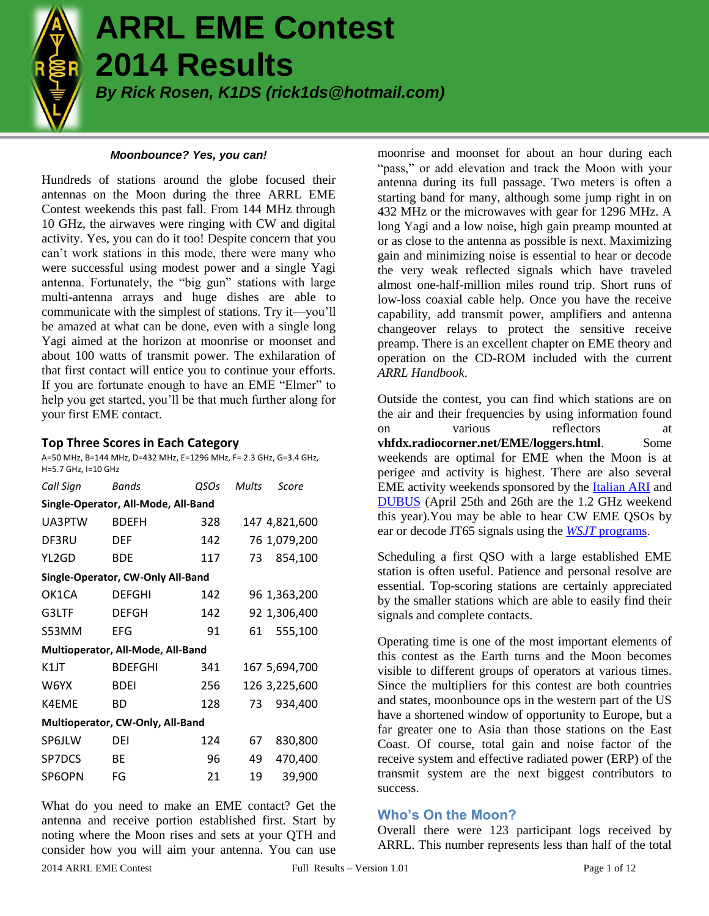

# **ARRL EME Contest 2014 Results**

*By Rick Rosen, K1DS (rick1ds@hotmail.com)*

#### *Moonbounce? Yes, you can!*

Hundreds of stations around the globe focused their antennas on the Moon during the three ARRL EME Contest weekends this past fall. From 144 MHz through 10 GHz, the airwaves were ringing with CW and digital activity. Yes, you can do it too! Despite concern that you can't work stations in this mode, there were many who were successful using modest power and a single Yagi antenna. Fortunately, the "big gun" stations with large multi-antenna arrays and huge dishes are able to communicate with the simplest of stations. Try it—you'll be amazed at what can be done, even with a single long Yagi aimed at the horizon at moonrise or moonset and about 100 watts of transmit power. The exhilaration of that first contact will entice you to continue your efforts. If you are fortunate enough to have an EME "Elmer" to help you get started, you'll be that much further along for your first EME contact.

#### **Top Three Scores in Each Category**

A=50 MHz, B=144 MHz, D=432 MHz, E=1296 MHz, F= 2.3 GHz, G=3.4 GHz, H=5.7 GHz, I=10 GHz

| Call Sign                           | <b>Bands</b>   | QSOs | Mults | Score         |  |  |  |  |
|-------------------------------------|----------------|------|-------|---------------|--|--|--|--|
| Single-Operator, All-Mode, All-Band |                |      |       |               |  |  |  |  |
| UA3PTW                              | <b>BDEFH</b>   | 328  |       | 147 4,821,600 |  |  |  |  |
| DF3RU                               | DEF            | 142  |       | 76 1,079,200  |  |  |  |  |
| YL2GD                               | <b>BDE</b>     | 117  | 73.   | 854,100       |  |  |  |  |
| Single-Operator, CW-Only All-Band   |                |      |       |               |  |  |  |  |
| OK1CA                               | <b>DEFGHI</b>  | 142  |       | 96 1,363,200  |  |  |  |  |
| G3LTF                               | <b>DEFGH</b>   | 142  |       | 92 1,306,400  |  |  |  |  |
| S53MM                               | EFG            | 91   | 61    | 555,100       |  |  |  |  |
| Multioperator, All-Mode, All-Band   |                |      |       |               |  |  |  |  |
| K1JT                                | <b>BDEFGHI</b> | 341  |       | 167 5,694,700 |  |  |  |  |
| W6YX                                | <b>BDFI</b>    | 256  |       | 126 3,225,600 |  |  |  |  |
| K4EME                               | BD             | 128  | 73    | 934,400       |  |  |  |  |
| Multioperator, CW-Only, All-Band    |                |      |       |               |  |  |  |  |
| SP6JLW                              | DEI            | 124  | 67    | 830,800       |  |  |  |  |
| SP7DCS                              | ВE             | 96   | 49    | 470,400       |  |  |  |  |
| SP6OPN                              | FG             | 21   | 19    | 39,900        |  |  |  |  |

What do you need to make an EME contact? Get the antenna and receive portion established first. Start by noting where the Moon rises and sets at your QTH and consider how you will aim your antenna. You can use

moonrise and moonset for about an hour during each "pass," or add elevation and track the Moon with your antenna during its full passage. Two meters is often a starting band for many, although some jump right in on 432 MHz or the microwaves with gear for 1296 MHz. A long Yagi and a low noise, high gain preamp mounted at or as close to the antenna as possible is next. Maximizing gain and minimizing noise is essential to hear or decode the very weak reflected signals which have traveled almost one-half-million miles round trip. Short runs of low-loss coaxial cable help. Once you have the receive capability, add transmit power, amplifiers and antenna changeover relays to protect the sensitive receive preamp. There is an excellent chapter on EME theory and operation on the CD-ROM included with the current *ARRL Handbook*.

Outside the contest, you can find which stations are on the air and their frequencies by using information found on various reflectors at **vhfdx.radiocorner.net/EME/loggers.html**. Some weekends are optimal for EME when the Moon is at perigee and activity is highest. There are also several EME activity weekends sponsored by the [Italian ARI](http://www.ari.it/) and [DUBUS](http://www.marsport.org.uk/dubus/eme.htm) (April 25th and 26th are the 1.2 GHz weekend this year).You may be able to hear CW EME QSOs by ear or decode JT65 signals using the *WSJT* [programs.](physics.princeton.edu/pulsar/k1jt)

Scheduling a first QSO with a large established EME station is often useful. Patience and personal resolve are essential. Top-scoring stations are certainly appreciated by the smaller stations which are able to easily find their signals and complete contacts.

Operating time is one of the most important elements of this contest as the Earth turns and the Moon becomes visible to different groups of operators at various times. Since the multipliers for this contest are both countries and states, moonbounce ops in the western part of the US have a shortened window of opportunity to Europe, but a far greater one to Asia than those stations on the East Coast. Of course, total gain and noise factor of the receive system and effective radiated power (ERP) of the transmit system are the next biggest contributors to success.

## **Who's On the Moon?**

Overall there were 123 participant logs received by ARRL. This number represents less than half of the total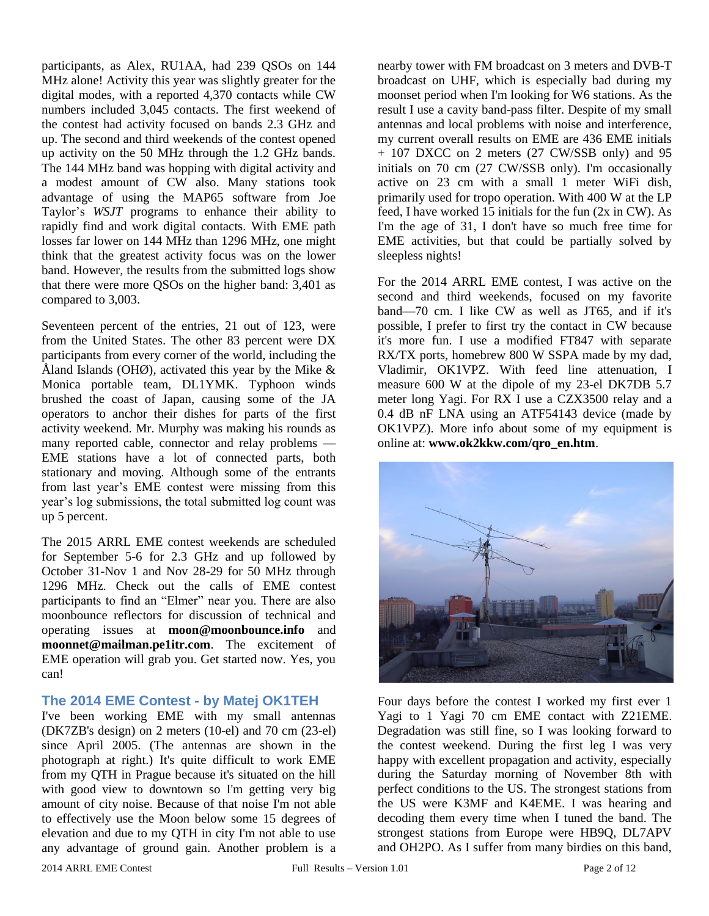participants, as Alex, RU1AA, had 239 QSOs on 144 MHz alone! Activity this year was slightly greater for the digital modes, with a reported 4,370 contacts while CW numbers included 3,045 contacts. The first weekend of the contest had activity focused on bands 2.3 GHz and up. The second and third weekends of the contest opened up activity on the 50 MHz through the 1.2 GHz bands. The 144 MHz band was hopping with digital activity and a modest amount of CW also. Many stations took advantage of using the MAP65 software from Joe Taylor's *WSJT* programs to enhance their ability to rapidly find and work digital contacts. With EME path losses far lower on 144 MHz than 1296 MHz, one might think that the greatest activity focus was on the lower band. However, the results from the submitted logs show that there were more QSOs on the higher band: 3,401 as compared to 3,003.

Seventeen percent of the entries, 21 out of 123, were from the United States. The other 83 percent were DX participants from every corner of the world, including the Åland Islands (OHØ), activated this year by the Mike  $\&$ Monica portable team, DL1YMK. Typhoon winds brushed the coast of Japan, causing some of the JA operators to anchor their dishes for parts of the first activity weekend. Mr. Murphy was making his rounds as many reported cable, connector and relay problems — EME stations have a lot of connected parts, both stationary and moving. Although some of the entrants from last year's EME contest were missing from this year's log submissions, the total submitted log count was up 5 percent.

The 2015 ARRL EME contest weekends are scheduled for September 5-6 for 2.3 GHz and up followed by October 31-Nov 1 and Nov 28-29 for 50 MHz through 1296 MHz. Check out the calls of EME contest participants to find an "Elmer" near you. There are also moonbounce reflectors for discussion of technical and operating issues at **moon@moonbounce.info** and **moonnet@mailman.pe1itr.com**. The excitement of EME operation will grab you. Get started now. Yes, you can!

#### **The 2014 EME Contest - by Matej OK1TEH**

I've been working EME with my small antennas (DK7ZB's design) on 2 meters (10-el) and 70 cm (23-el) since April 2005. (The antennas are shown in the photograph at right.) It's quite difficult to work EME from my QTH in Prague because it's situated on the hill with good view to downtown so I'm getting very big amount of city noise. Because of that noise I'm not able to effectively use the Moon below some 15 degrees of elevation and due to my QTH in city I'm not able to use any advantage of ground gain. Another problem is a

nearby tower with FM broadcast on 3 meters and DVB-T broadcast on UHF, which is especially bad during my moonset period when I'm looking for W6 stations. As the result I use a cavity band-pass filter. Despite of my small antennas and local problems with noise and interference, my current overall results on EME are 436 EME initials + 107 DXCC on 2 meters (27 CW/SSB only) and 95 initials on 70 cm (27 CW/SSB only). I'm occasionally active on 23 cm with a small 1 meter WiFi dish, primarily used for tropo operation. With 400 W at the LP feed, I have worked 15 initials for the fun (2x in CW). As I'm the age of 31, I don't have so much free time for EME activities, but that could be partially solved by sleepless nights!

For the 2014 ARRL EME contest, I was active on the second and third weekends, focused on my favorite band—70 cm. I like CW as well as JT65, and if it's possible, I prefer to first try the contact in CW because it's more fun. I use a modified FT847 with separate RX/TX ports, homebrew 800 W SSPA made by my dad, Vladimir, OK1VPZ. With feed line attenuation, I measure 600 W at the dipole of my 23-el DK7DB 5.7 meter long Yagi. For RX I use a CZX3500 relay and a 0.4 dB nF LNA using an ATF54143 device (made by OK1VPZ). More info about some of my equipment is online at: **www.ok2kkw.com/qro\_en.htm**.



Four days before the contest I worked my first ever 1 Yagi to 1 Yagi 70 cm EME contact with Z21EME. Degradation was still fine, so I was looking forward to the contest weekend. During the first leg I was very happy with excellent propagation and activity, especially during the Saturday morning of November 8th with perfect conditions to the US. The strongest stations from the US were K3MF and K4EME. I was hearing and decoding them every time when I tuned the band. The strongest stations from Europe were HB9Q, DL7APV and OH2PO. As I suffer from many birdies on this band,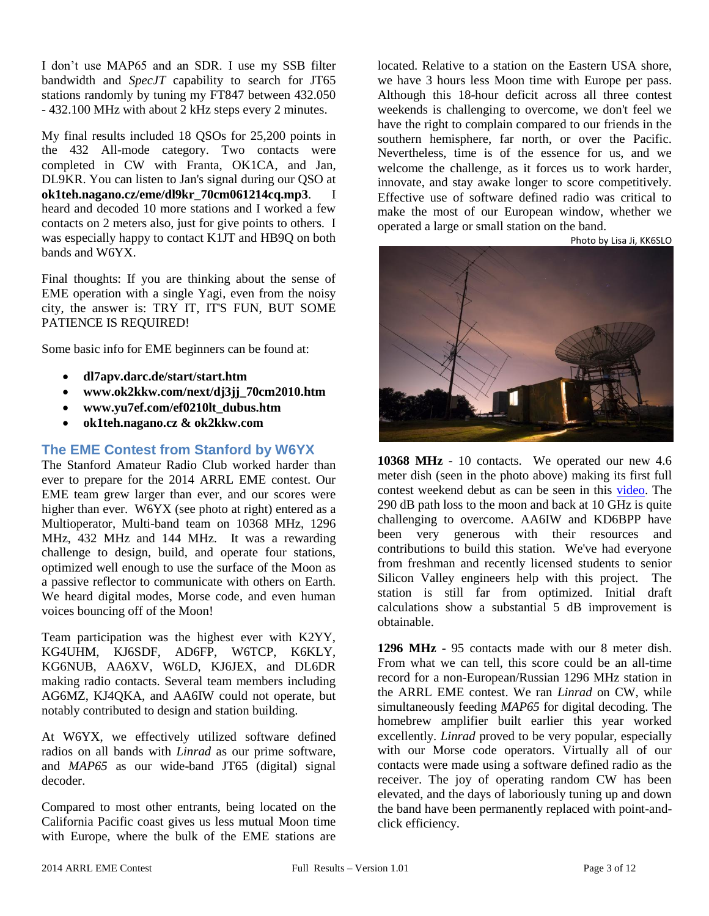I don't use MAP65 and an SDR. I use my SSB filter bandwidth and *SpecJT* capability to search for JT65 stations randomly by tuning my FT847 between 432.050 - 432.100 MHz with about 2 kHz steps every 2 minutes.

My final results included 18 QSOs for 25,200 points in the 432 All-mode category. Two contacts were completed in CW with Franta, OK1CA, and Jan, DL9KR. You can listen to Jan's signal during our QSO at **ok1teh.nagano.cz/eme/dl9kr\_70cm061214cq.mp3**. I heard and decoded 10 more stations and I worked a few contacts on 2 meters also, just for give points to others. I was especially happy to contact K1JT and HB9Q on both bands and W6YX.

Final thoughts: If you are thinking about the sense of EME operation with a single Yagi, even from the noisy city, the answer is: TRY IT, IT'S FUN, BUT SOME PATIENCE IS REQUIRED!

Some basic info for EME beginners can be found at:

- **dl7apv.darc.de/start/start.htm**
- **www.ok2kkw.com/next/dj3jj\_70cm2010.htm**
- **www.yu7ef.com/ef0210lt\_dubus.htm**
- **ok1teh.nagano.cz & ok2kkw.com**

## **The EME Contest from Stanford by W6YX**

The Stanford Amateur Radio Club worked harder than ever to prepare for the 2014 ARRL EME contest. Our EME team grew larger than ever, and our scores were higher than ever. W6YX (see photo at right) entered as a Multioperator, Multi-band team on 10368 MHz, 1296 MHz, 432 MHz and 144 MHz. It was a rewarding challenge to design, build, and operate four stations, optimized well enough to use the surface of the Moon as a passive reflector to communicate with others on Earth. We heard digital modes, Morse code, and even human voices bouncing off of the Moon!

Team participation was the highest ever with K2YY, KG4UHM, KJ6SDF, AD6FP, W6TCP, K6KLY, KG6NUB, AA6XV, W6LD, KJ6JEX, and DL6DR making radio contacts. Several team members including AG6MZ, KJ4QKA, and AA6IW could not operate, but notably contributed to design and station building.

At W6YX, we effectively utilized software defined radios on all bands with *Linrad* as our prime software, and *MAP65* as our wide-band JT65 (digital) signal decoder.

Compared to most other entrants, being located on the California Pacific coast gives us less mutual Moon time with Europe, where the bulk of the EME stations are

located. Relative to a station on the Eastern USA shore, we have 3 hours less Moon time with Europe per pass. Although this 18-hour deficit across all three contest weekends is challenging to overcome, we don't feel we have the right to complain compared to our friends in the southern hemisphere, far north, or over the Pacific. Nevertheless, time is of the essence for us, and we welcome the challenge, as it forces us to work harder, innovate, and stay awake longer to score competitively. Effective use of software defined radio was critical to make the most of our European window, whether we operated a large or small station on the band.

Photo by Lisa Ji, KK6SLO



**10368 MHz** - 10 contacts. We operated our new 4.6 meter dish (seen in the photo above) making its first full contest weekend debut as can be seen in this [video.](http://stanford.edu/~rmoffatt/W6YX/3cm_Contest_Photos/Timelapse.mp4) The 290 dB path loss to the moon and back at 10 GHz is quite challenging to overcome. AA6IW and KD6BPP have been very generous with their resources and contributions to build this station. We've had everyone from freshman and recently licensed students to senior Silicon Valley engineers help with this project. The station is still far from optimized. Initial draft calculations show a substantial 5 dB improvement is obtainable.

**1296 MHz** - 95 contacts made with our 8 meter dish. From what we can tell, this score could be an all-time record for a non-European/Russian 1296 MHz station in the ARRL EME contest. We ran *Linrad* on CW, while simultaneously feeding *MAP65* for digital decoding. The homebrew amplifier built earlier this year worked excellently. *Linrad* proved to be very popular, especially with our Morse code operators. Virtually all of our contacts were made using a software defined radio as the receiver. The joy of operating random CW has been elevated, and the days of laboriously tuning up and down the band have been permanently replaced with point-andclick efficiency.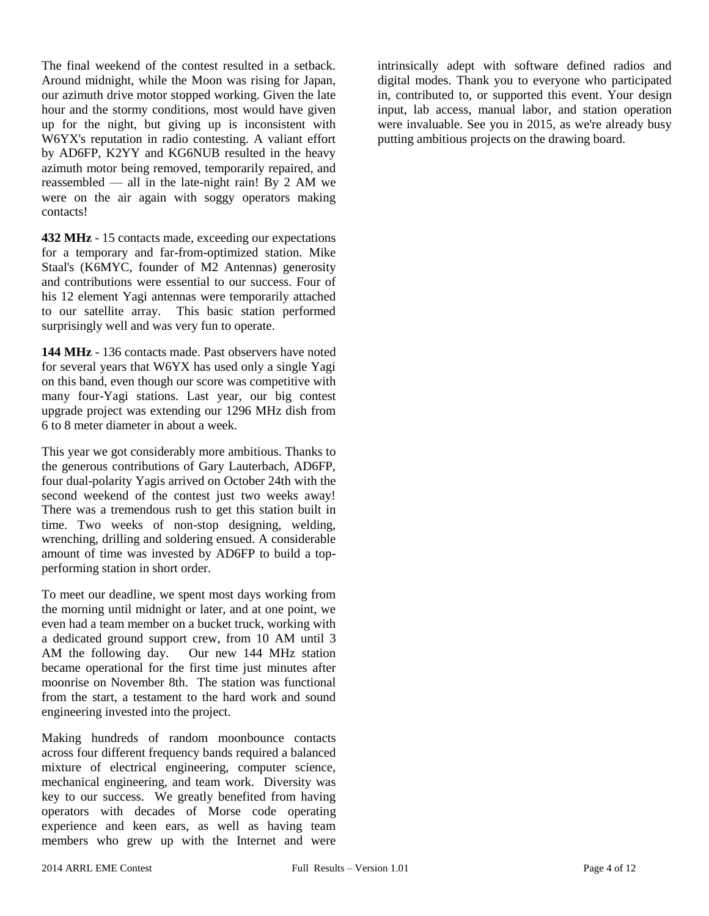The final weekend of the contest resulted in a setback. Around midnight, while the Moon was rising for Japan, our azimuth drive motor stopped working. Given the late hour and the stormy conditions, most would have given up for the night, but giving up is inconsistent with W6YX's reputation in radio contesting. A valiant effort by AD6FP, K2YY and KG6NUB resulted in the heavy azimuth motor being removed, temporarily repaired, and reassembled — all in the late-night rain! By  $2$  AM we were on the air again with soggy operators making contacts!

**432 MHz** - 15 contacts made, exceeding our expectations for a temporary and far-from-optimized station. Mike Staal's (K6MYC, founder of M2 Antennas) generosity and contributions were essential to our success. Four of his 12 element Yagi antennas were temporarily attached to our satellite array. This basic station performed surprisingly well and was very fun to operate.

**144 MHz** - 136 contacts made. Past observers have noted for several years that W6YX has used only a single Yagi on this band, even though our score was competitive with many four-Yagi stations. Last year, our big contest upgrade project was extending our 1296 MHz dish from 6 to 8 meter diameter in about a week.

This year we got considerably more ambitious. Thanks to the generous contributions of Gary Lauterbach, AD6FP, four dual-polarity Yagis arrived on October 24th with the second weekend of the contest just two weeks away! There was a tremendous rush to get this station built in time. Two weeks of non-stop designing, welding, wrenching, drilling and soldering ensued. A considerable amount of time was invested by AD6FP to build a topperforming station in short order.

To meet our deadline, we spent most days working from the morning until midnight or later, and at one point, we even had a team member on a bucket truck, working with a dedicated ground support crew, from 10 AM until 3 AM the following day. Our new 144 MHz station became operational for the first time just minutes after moonrise on November 8th. The station was functional from the start, a testament to the hard work and sound engineering invested into the project.

Making hundreds of random moonbounce contacts across four different frequency bands required a balanced mixture of electrical engineering, computer science, mechanical engineering, and team work. Diversity was key to our success. We greatly benefited from having operators with decades of Morse code operating experience and keen ears, as well as having team members who grew up with the Internet and were

intrinsically adept with software defined radios and digital modes. Thank you to everyone who participated in, contributed to, or supported this event. Your design input, lab access, manual labor, and station operation were invaluable. See you in 2015, as we're already busy putting ambitious projects on the drawing board.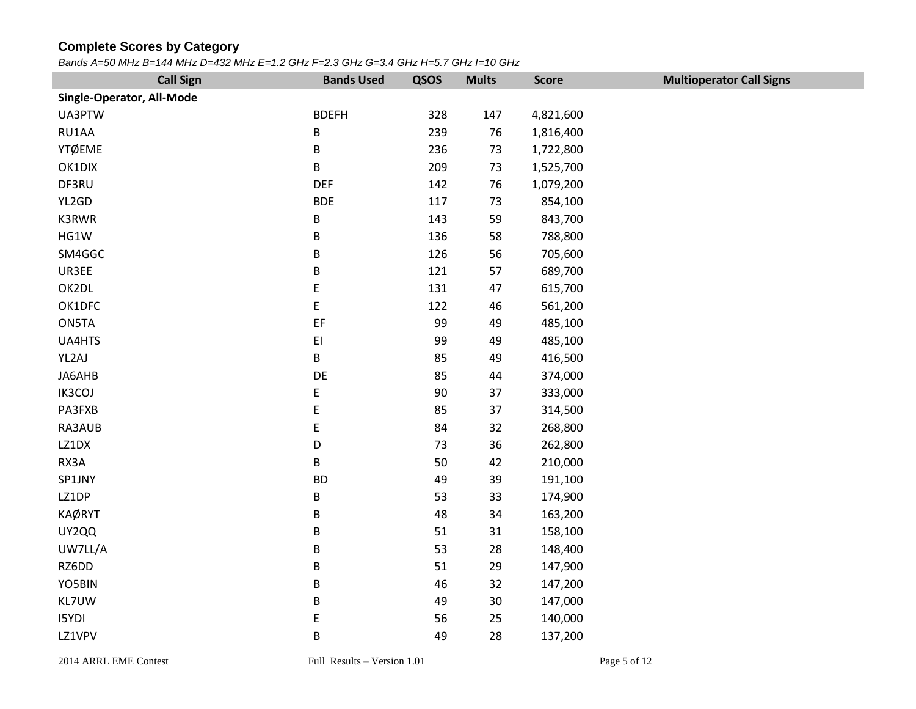## **Complete Scores by Category**

*Bands A=50 MHz B=144 MHz D=432 MHz E=1.2 GHz F=2.3 GHz G=3.4 GHz H=5.7 GHz I=10 GHz*

| <b>Call Sign</b>          | <b>Bands Used</b>      | QSOS   | <b>Mults</b> | <b>Score</b> | <b>Multioperator Call Signs</b> |
|---------------------------|------------------------|--------|--------------|--------------|---------------------------------|
| Single-Operator, All-Mode |                        |        |              |              |                                 |
| UA3PTW                    | <b>BDEFH</b>           | 328    | 147          | 4,821,600    |                                 |
| RU1AA                     | B                      | 239    | 76           | 1,816,400    |                                 |
| <b>YTØEME</b>             | B                      | 236    | 73           | 1,722,800    |                                 |
| OK1DIX                    | B                      | 209    | 73           | 1,525,700    |                                 |
| DF3RU                     | <b>DEF</b>             | 142    | 76           | 1,079,200    |                                 |
| YL2GD                     | <b>BDE</b>             | 117    | 73           | 854,100      |                                 |
| K3RWR                     | B                      | 143    | 59           | 843,700      |                                 |
| HG1W                      | B                      | 136    | 58           | 788,800      |                                 |
| SM4GGC                    | B                      | 126    | 56           | 705,600      |                                 |
| UR3EE                     | B                      | 121    | 57           | 689,700      |                                 |
| OK2DL                     | E                      | 131    | 47           | 615,700      |                                 |
| OK1DFC                    | E                      | 122    | 46           | 561,200      |                                 |
| ON5TA                     | EF                     | 99     | 49           | 485,100      |                                 |
| UA4HTS                    | $\mathsf{E}\mathsf{I}$ | 99     | 49           | 485,100      |                                 |
| YL2AJ                     | B                      | 85     | 49           | 416,500      |                                 |
| JA6AHB                    | DE                     | 85     | 44           | 374,000      |                                 |
| IK3COJ                    | E                      | $90\,$ | 37           | 333,000      |                                 |
| PA3FXB                    | E                      | 85     | 37           | 314,500      |                                 |
| RA3AUB                    | E                      | 84     | 32           | 268,800      |                                 |
| LZ1DX                     | D                      | 73     | 36           | 262,800      |                                 |
| RX3A                      | B                      | 50     | 42           | 210,000      |                                 |
| SP1JNY                    | <b>BD</b>              | 49     | 39           | 191,100      |                                 |
| LZ1DP                     | B                      | 53     | 33           | 174,900      |                                 |
| <b>KAØRYT</b>             | B                      | 48     | 34           | 163,200      |                                 |
| UY2QQ                     | B                      | 51     | 31           | 158,100      |                                 |
| UW7LL/A                   | B                      | 53     | 28           | 148,400      |                                 |
| RZ6DD                     | B                      | 51     | 29           | 147,900      |                                 |
| YO5BIN                    | B                      | 46     | 32           | 147,200      |                                 |
| KL7UW                     | $\sf B$                | 49     | 30           | 147,000      |                                 |
| <b>I5YDI</b>              | E                      | 56     | 25           | 140,000      |                                 |
| LZ1VPV                    | $\sf B$                | 49     | 28           | 137,200      |                                 |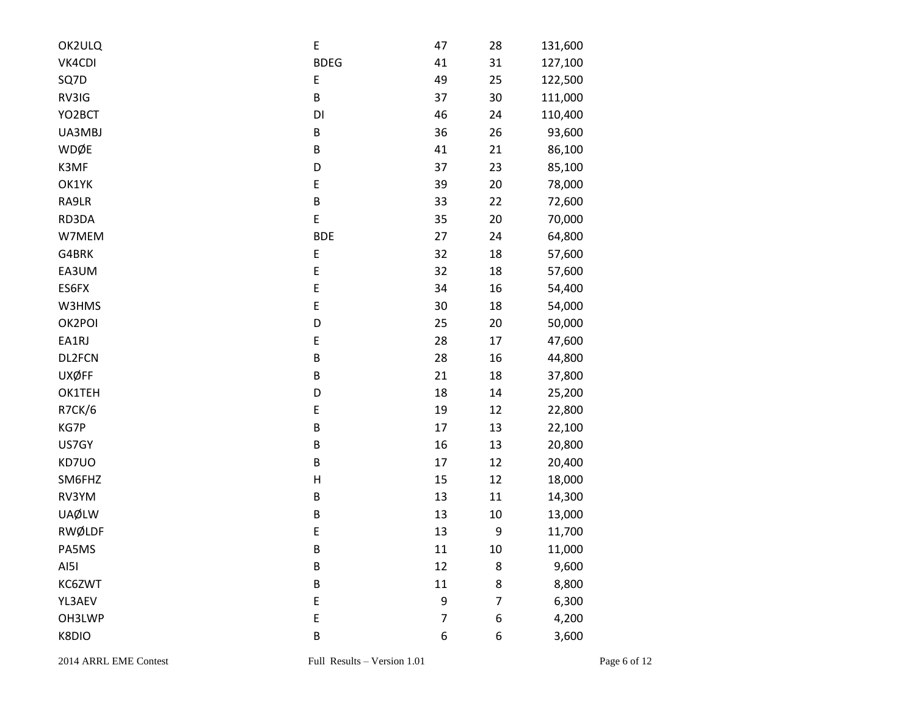| OK2ULQ        | E           | 47             | 28     | 131,600 |
|---------------|-------------|----------------|--------|---------|
| VK4CDI        | <b>BDEG</b> | 41             | 31     | 127,100 |
| SQ7D          | E           | 49             | 25     | 122,500 |
| RV3IG         | $\sf B$     | 37             | 30     | 111,000 |
| YO2BCT        | DI          | 46             | 24     | 110,400 |
| UA3MBJ        | B           | 36             | 26     | 93,600  |
| WDØE          | B           | 41             | 21     | 86,100  |
| K3MF          | D           | 37             | 23     | 85,100  |
| OK1YK         | E           | 39             | 20     | 78,000  |
| RA9LR         | $\sf B$     | 33             | 22     | 72,600  |
| RD3DA         | $\mathsf E$ | 35             | 20     | 70,000  |
| W7MEM         | <b>BDE</b>  | 27             | 24     | 64,800  |
| G4BRK         | E           | 32             | 18     | 57,600  |
| EA3UM         | E           | 32             | 18     | 57,600  |
| ES6FX         | E           | 34             | 16     | 54,400  |
| W3HMS         | E           | 30             | 18     | 54,000  |
| OK2POI        | D           | 25             | 20     | 50,000  |
| EA1RJ         | E           | 28             | 17     | 47,600  |
| DL2FCN        | $\sf B$     | 28             | 16     | 44,800  |
| <b>UXØFF</b>  | B           | 21             | 18     | 37,800  |
| OK1TEH        | D           | 18             | 14     | 25,200  |
| R7CK/6        | E           | 19             | 12     | 22,800  |
| KG7P          | $\sf B$     | 17             | 13     | 22,100  |
| US7GY         | B           | 16             | 13     | 20,800  |
| KD7UO         | B           | 17             | 12     | 20,400  |
| SM6FHZ        | Н           | 15             | 12     | 18,000  |
| RV3YM         | $\sf B$     | 13             | 11     | 14,300  |
| <b>UAØLW</b>  | $\sf B$     | 13             | $10\,$ | 13,000  |
| <b>RWØLDF</b> | E           | 13             | 9      | 11,700  |
| PA5MS         | $\sf B$     | 11             | 10     | 11,000  |
| AI5I          | $\sf B$     | 12             | 8      | 9,600   |
| KC6ZWT        | $\sf B$     | 11             | 8      | 8,800   |
| YL3AEV        | E           | 9              | 7      | 6,300   |
| OH3LWP        | E           | $\overline{7}$ | 6      | 4,200   |
| K8DIO         | $\sf B$     | 6              | 6      | 3,600   |
|               |             |                |        |         |

2014 ARRL EME Contest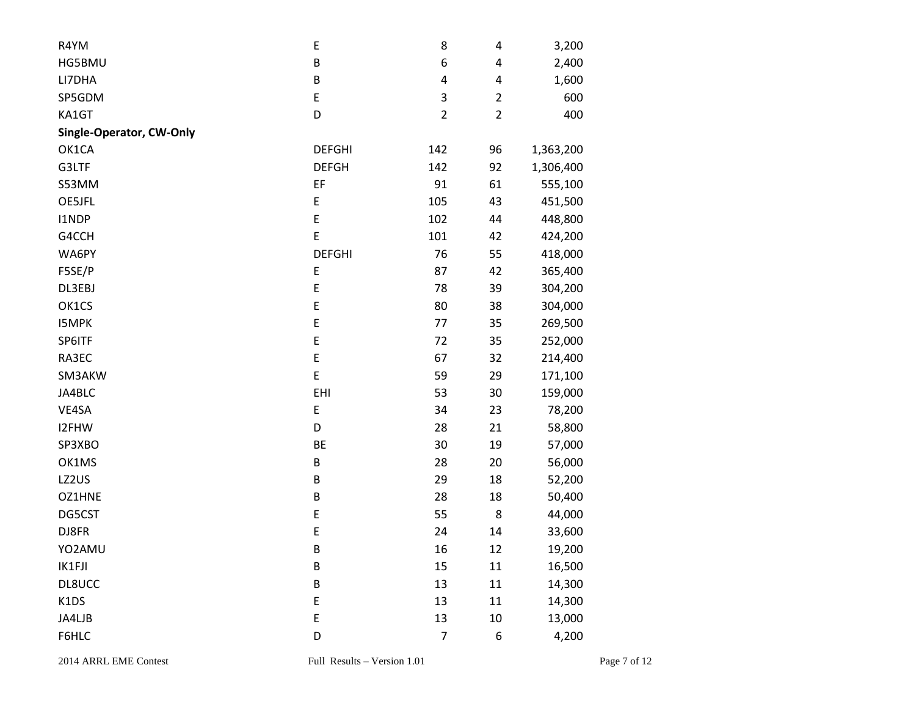| R4YM                     | E             | 8              | 4              | 3,200     |
|--------------------------|---------------|----------------|----------------|-----------|
| HG5BMU                   | $\sf B$       | 6              | 4              | 2,400     |
| LI7DHA                   | $\sf B$       | 4              | 4              | 1,600     |
| SP5GDM                   | E             | 3              | $\overline{2}$ | 600       |
| KA1GT                    | D             | $\overline{2}$ | $\overline{2}$ | 400       |
| Single-Operator, CW-Only |               |                |                |           |
| OK1CA                    | <b>DEFGHI</b> | 142            | 96             | 1,363,200 |
| G3LTF                    | <b>DEFGH</b>  | 142            | 92             | 1,306,400 |
| S53MM                    | EF            | 91             | 61             | 555,100   |
| OE5JFL                   | E             | 105            | 43             | 451,500   |
| I1NDP                    | E             | 102            | 44             | 448,800   |
| G4CCH                    | E             | 101            | 42             | 424,200   |
| WA6PY                    | <b>DEFGHI</b> | 76             | 55             | 418,000   |
| F5SE/P                   | E             | 87             | 42             | 365,400   |
| DL3EBJ                   | E             | 78             | 39             | 304,200   |
| OK1CS                    | E             | 80             | 38             | 304,000   |
| <b>I5MPK</b>             | E             | 77             | 35             | 269,500   |
| SP6ITF                   | E             | 72             | 35             | 252,000   |
| RA3EC                    | E             | 67             | 32             | 214,400   |
| SM3AKW                   | $\mathsf E$   | 59             | 29             | 171,100   |
| JA4BLC                   | EHI           | 53             | 30             | 159,000   |
| VE4SA                    | E             | 34             | 23             | 78,200    |
| I2FHW                    | D             | 28             | 21             | 58,800    |
| SP3XBO                   | BE            | 30             | 19             | 57,000    |
| OK1MS                    | B             | 28             | 20             | 56,000    |
| LZ2US                    | B             | 29             | 18             | 52,200    |
| OZ1HNE                   | B             | 28             | 18             | 50,400    |
| DG5CST                   | E             | 55             | 8              | 44,000    |
| DJ8FR                    | E             | 24             | 14             | 33,600    |
| YO2AMU                   | B             | 16             | 12             | 19,200    |
| IK1FJI                   | $\sf B$       | 15             | $11\,$         | 16,500    |
| DL8UCC                   | $\sf B$       | 13             | 11             | 14,300    |
| K1DS                     | E             | 13             | $11\,$         | 14,300    |
| JA4LJB                   | E             | 13             | $10\,$         | 13,000    |
| F6HLC                    | D             | $\overline{7}$ | 6              | 4,200     |
|                          |               |                |                |           |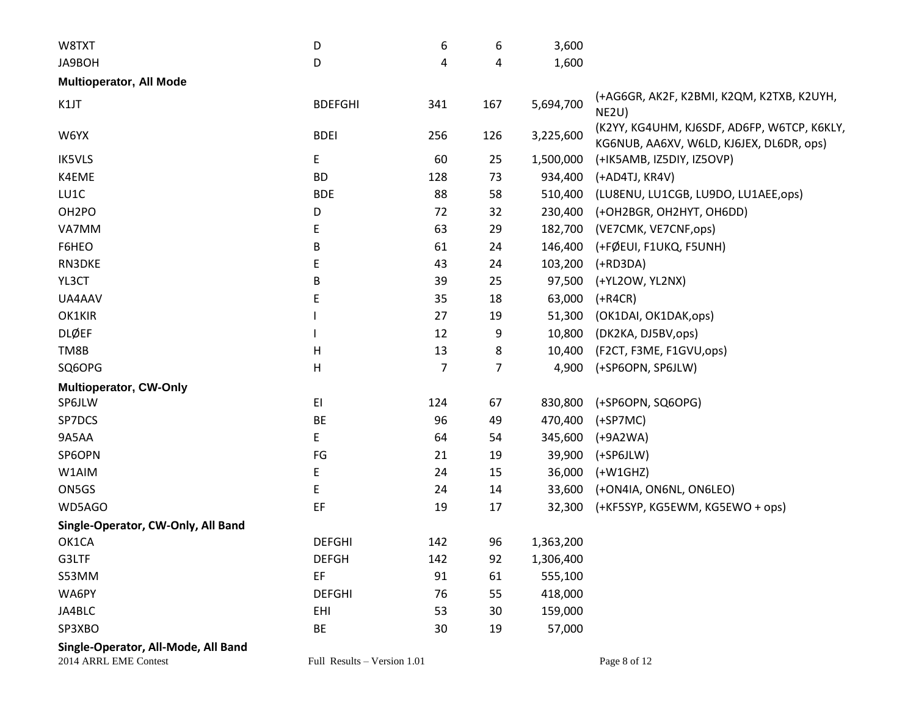| W8TXT                              | D              | 6   | 6   | 3,600     |                                                                                         |
|------------------------------------|----------------|-----|-----|-----------|-----------------------------------------------------------------------------------------|
| JA9BOH                             | D              | 4   | 4   | 1,600     |                                                                                         |
| <b>Multioperator, All Mode</b>     |                |     |     |           |                                                                                         |
| K1JT                               | <b>BDEFGHI</b> | 341 | 167 | 5,694,700 | (+AG6GR, AK2F, K2BMI, K2QM, K2TXB, K2UYH,<br>NE2U)                                      |
| W6YX                               | <b>BDEI</b>    | 256 | 126 | 3,225,600 | (K2YY, KG4UHM, KJ6SDF, AD6FP, W6TCP, K6KLY,<br>KG6NUB, AA6XV, W6LD, KJ6JEX, DL6DR, ops) |
| <b>IK5VLS</b>                      | E              | 60  | 25  | 1,500,000 | (+IK5AMB, IZ5DIY, IZ5OVP)                                                               |
| K4EME                              | <b>BD</b>      | 128 | 73  | 934,400   | (+AD4TJ, KR4V)                                                                          |
| LU1C                               | <b>BDE</b>     | 88  | 58  | 510,400   | (LU8ENU, LU1CGB, LU9DO, LU1AEE,ops)                                                     |
| OH <sub>2</sub> PO                 | D              | 72  | 32  | 230,400   | (+OH2BGR, OH2HYT, OH6DD)                                                                |
| VA7MM                              | E              | 63  | 29  | 182,700   | (VE7CMK, VE7CNF,ops)                                                                    |
| F6HEO                              | B              | 61  | 24  | 146,400   | (+FØEUI, F1UKQ, F5UNH)                                                                  |
| RN3DKE                             | E              | 43  | 24  | 103,200   | $(+RD3DA)$                                                                              |
| YL3CT                              | B              | 39  | 25  | 97,500    | (+YL2OW, YL2NX)                                                                         |
| UA4AAV                             | E              | 35  | 18  | 63,000    | $(+R4CR)$                                                                               |
| OK1KIR                             |                | 27  | 19  | 51,300    | (OK1DAI, OK1DAK, ops)                                                                   |
| <b>DLØEF</b>                       |                | 12  | 9   | 10,800    | (DK2KA, DJ5BV, ops)                                                                     |
| TM8B                               | H              | 13  | 8   | 10,400    | (F2CT, F3ME, F1GVU,ops)                                                                 |
| SQ6OPG                             | Н              | 7   | 7   | 4,900     | (+SP6OPN, SP6JLW)                                                                       |
| Multioperator, CW-Only             |                |     |     |           |                                                                                         |
| SP6JLW                             | EI             | 124 | 67  | 830,800   | (+SP6OPN, SQ6OPG)                                                                       |
| SP7DCS                             | BE             | 96  | 49  | 470,400   | $(+SP7MC)$                                                                              |
| 9A5AA                              | E              | 64  | 54  | 345,600   | $(+9A2WA)$                                                                              |
| SP6OPN                             | FG             | 21  | 19  | 39,900    | $(+SP6JLW)$                                                                             |
| W1AIM                              | E              | 24  | 15  | 36,000    | $(+W1GHZ)$                                                                              |
| ON5GS                              | E              | 24  | 14  | 33,600    | (+ON4IA, ON6NL, ON6LEO)                                                                 |
| WD5AGO                             | EF             | 19  | 17  | 32,300    | (+KF5SYP, KG5EWM, KG5EWO + ops)                                                         |
| Single-Operator, CW-Only, All Band |                |     |     |           |                                                                                         |
| OK1CA                              | <b>DEFGHI</b>  | 142 | 96  | 1,363,200 |                                                                                         |
| G3LTF                              | <b>DEFGH</b>   | 142 | 92  | 1,306,400 |                                                                                         |
| S53MM                              | EF             | 91  | 61  | 555,100   |                                                                                         |
| WA6PY                              | <b>DEFGHI</b>  | 76  | 55  | 418,000   |                                                                                         |
| JA4BLC                             | EHI            | 53  | 30  | 159,000   |                                                                                         |
| SP3XBO                             | BE             | 30  | 19  | 57,000    |                                                                                         |
|                                    |                |     |     |           |                                                                                         |

**Single-Operator, All-Mode, All Band**

2014 ARRL EME Contest Full Results – Version 1.01 Page 8 of 12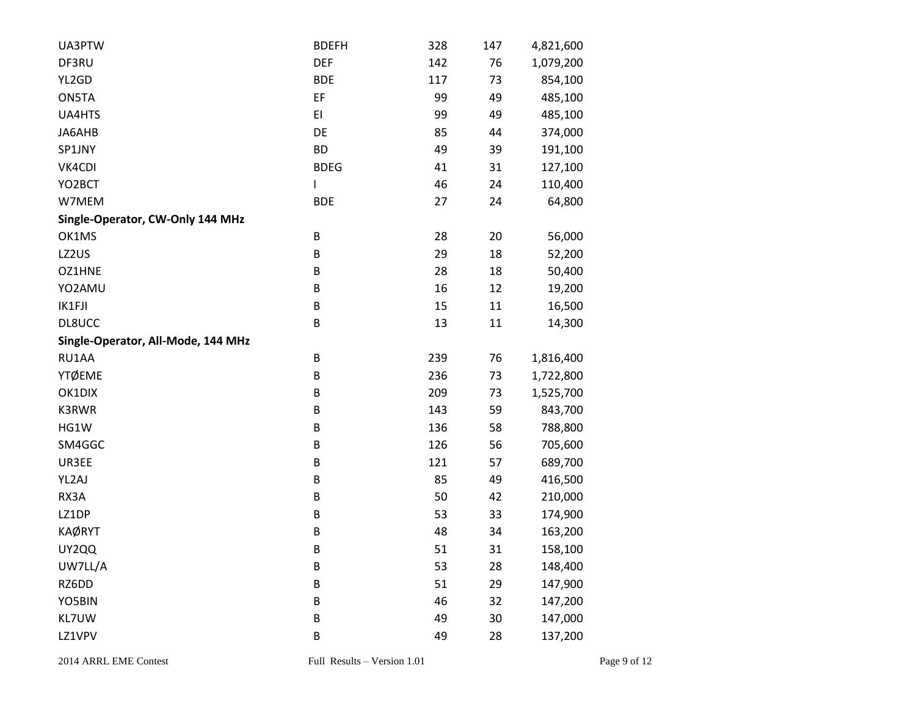| UA3PTW                             | <b>BDEFH</b> | 328 | 147 | 4,821,600 |
|------------------------------------|--------------|-----|-----|-----------|
| DF3RU                              | <b>DEF</b>   | 142 | 76  | 1,079,200 |
| YL2GD                              | <b>BDE</b>   | 117 | 73  | 854,100   |
| ON5TA                              | EF           | 99  | 49  | 485,100   |
| UA4HTS                             | EI           | 99  | 49  | 485,100   |
| JA6AHB                             | DE           | 85  | 44  | 374,000   |
| SP1JNY                             | <b>BD</b>    | 49  | 39  | 191,100   |
| VK4CDI                             | <b>BDEG</b>  | 41  | 31  | 127,100   |
| YO2BCT                             | L            | 46  | 24  | 110,400   |
| W7MEM                              | <b>BDE</b>   | 27  | 24  | 64,800    |
| Single-Operator, CW-Only 144 MHz   |              |     |     |           |
| OK1MS                              | B            | 28  | 20  | 56,000    |
| LZ2US                              | B            | 29  | 18  | 52,200    |
| OZ1HNE                             | B            | 28  | 18  | 50,400    |
| YO2AMU                             | B            | 16  | 12  | 19,200    |
| IK1FJI                             | B            | 15  | 11  | 16,500    |
| DL8UCC                             | B            | 13  | 11  | 14,300    |
| Single-Operator, All-Mode, 144 MHz |              |     |     |           |
| RU1AA                              | B            | 239 | 76  | 1,816,400 |
| YTØEME                             | B            | 236 | 73  | 1,722,800 |
| OK1DIX                             | B            | 209 | 73  | 1,525,700 |
| K3RWR                              | B            | 143 | 59  | 843,700   |
| HG1W                               | B            | 136 | 58  | 788,800   |
| SM4GGC                             | B            | 126 | 56  | 705,600   |
| UR3EE                              | B            | 121 | 57  | 689,700   |
| YL2AJ                              | B            | 85  | 49  | 416,500   |
| RX3A                               | B            | 50  | 42  | 210,000   |
| LZ1DP                              | B            | 53  | 33  | 174,900   |
| <b>KAØRYT</b>                      | B            | 48  | 34  | 163,200   |
| UY2QQ                              | B            | 51  | 31  | 158,100   |
| UW7LL/A                            | $\sf B$      | 53  | 28  | 148,400   |
| RZ6DD                              | $\sf B$      | 51  | 29  | 147,900   |
| YO5BIN                             | $\sf B$      | 46  | 32  | 147,200   |
| KL7UW                              | $\sf B$      | 49  | 30  | 147,000   |
| LZ1VPV                             | $\sf B$      | 49  | 28  | 137,200   |
|                                    |              |     |     |           |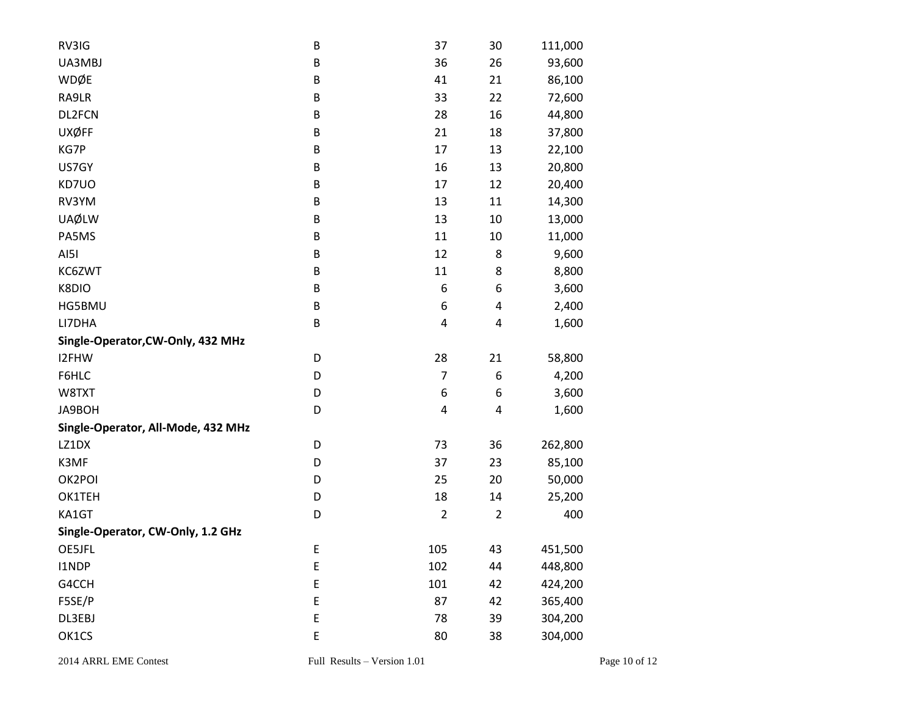| RV3IG                              | B       | 37             | 30             | 111,000 |
|------------------------------------|---------|----------------|----------------|---------|
| UA3MBJ                             | B       | 36             | 26             | 93,600  |
| WDØE                               | B       | 41             | 21             | 86,100  |
| RA9LR                              | B       | 33             | 22             | 72,600  |
| DL2FCN                             | B       | 28             | 16             | 44,800  |
| <b>UXØFF</b>                       | B       | 21             | 18             | 37,800  |
| KG7P                               | B       | 17             | 13             | 22,100  |
| US7GY                              | B       | 16             | 13             | 20,800  |
| KD7UO                              | B       | 17             | 12             | 20,400  |
| RV3YM                              | $\sf B$ | 13             | 11             | 14,300  |
| <b>UAØLW</b>                       | B       | 13             | 10             | 13,000  |
| PA5MS                              | B       | 11             | 10             | 11,000  |
| AI5I                               | B       | 12             | 8              | 9,600   |
| KC6ZWT                             | B       | 11             | 8              | 8,800   |
| K8DIO                              | B       | 6              | 6              | 3,600   |
| HG5BMU                             | $\sf B$ | 6              | 4              | 2,400   |
| LI7DHA                             | B       | 4              | 4              | 1,600   |
| Single-Operator, CW-Only, 432 MHz  |         |                |                |         |
| I2FHW                              | D       | 28             | 21             | 58,800  |
| F6HLC                              | D       | $\overline{7}$ | 6              | 4,200   |
| W8TXT                              | D       | 6              | 6              | 3,600   |
| JA9BOH                             | D       | 4              | 4              | 1,600   |
| Single-Operator, All-Mode, 432 MHz |         |                |                |         |
| LZ1DX                              | D       | 73             | 36             | 262,800 |
| K3MF                               | D       | 37             | 23             | 85,100  |
| OK2POI                             | D       | 25             | 20             | 50,000  |
| OK1TEH                             | D       | 18             | 14             | 25,200  |
| KA1GT                              | D       | $\overline{2}$ | $\overline{2}$ | 400     |
| Single-Operator, CW-Only, 1.2 GHz  |         |                |                |         |
| OE5JFL                             | E       | 105            | 43             | 451,500 |
| I1NDP                              | E       | 102            | 44             | 448,800 |
| G4CCH                              | E       | 101            | 42             | 424,200 |
| F5SE/P                             | E       | 87             | 42             | 365,400 |
| DL3EBJ                             | E       | 78             | 39             | 304,200 |
| OK1CS                              | E       | 80             | 38             | 304,000 |
|                                    |         |                |                |         |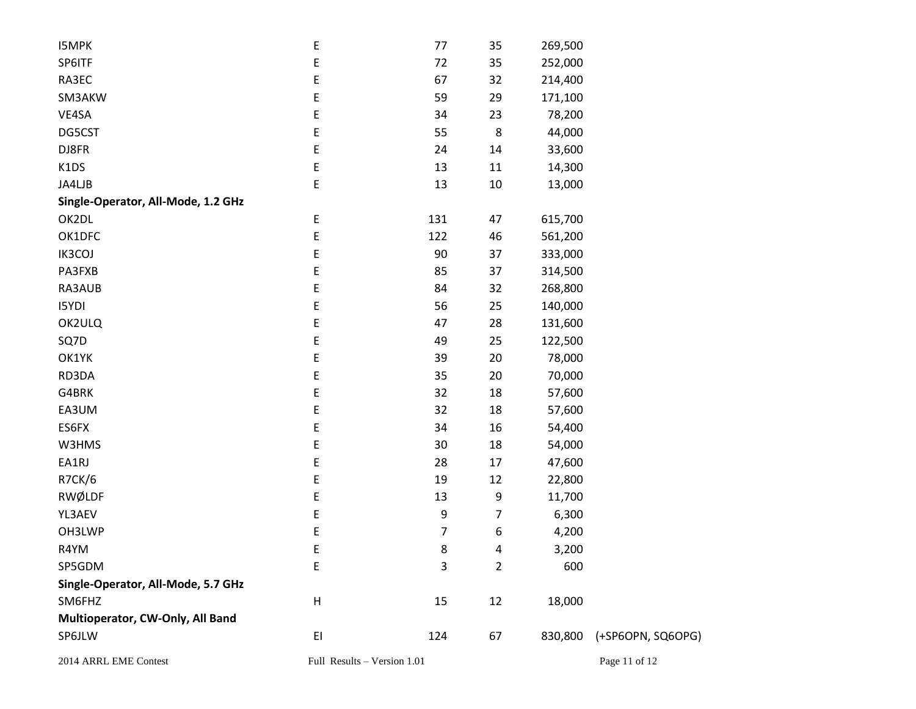| <b>I5MPK</b>                       | E                           | 77  | 35             | 269,500 |                   |
|------------------------------------|-----------------------------|-----|----------------|---------|-------------------|
| SP6ITF                             | E                           | 72  | 35             | 252,000 |                   |
| RA3EC                              | E                           | 67  | 32             | 214,400 |                   |
| SM3AKW                             | E                           | 59  | 29             | 171,100 |                   |
| VE4SA                              | E                           | 34  | 23             | 78,200  |                   |
| DG5CST                             | E                           | 55  | $\bf 8$        | 44,000  |                   |
| DJ8FR                              | E                           | 24  | 14             | 33,600  |                   |
| K1DS                               | E                           | 13  | 11             | 14,300  |                   |
| JA4LJB                             | E                           | 13  | $10\,$         | 13,000  |                   |
| Single-Operator, All-Mode, 1.2 GHz |                             |     |                |         |                   |
| OK2DL                              | E                           | 131 | 47             | 615,700 |                   |
| OK1DFC                             | E                           | 122 | 46             | 561,200 |                   |
| IK3COJ                             | E                           | 90  | 37             | 333,000 |                   |
| PA3FXB                             | E                           | 85  | 37             | 314,500 |                   |
| RA3AUB                             | E                           | 84  | 32             | 268,800 |                   |
| I5YDI                              | E                           | 56  | 25             | 140,000 |                   |
| OK2ULQ                             | E                           | 47  | 28             | 131,600 |                   |
| SQ7D                               | E                           | 49  | 25             | 122,500 |                   |
| OK1YK                              | E                           | 39  | 20             | 78,000  |                   |
| RD3DA                              | E                           | 35  | 20             | 70,000  |                   |
| G4BRK                              | E                           | 32  | 18             | 57,600  |                   |
| EA3UM                              | E                           | 32  | 18             | 57,600  |                   |
| ES6FX                              | E                           | 34  | 16             | 54,400  |                   |
| W3HMS                              | E                           | 30  | 18             | 54,000  |                   |
| EA1RJ                              | E                           | 28  | 17             | 47,600  |                   |
| R7CK/6                             | E                           | 19  | 12             | 22,800  |                   |
| RWØLDF                             | E                           | 13  | 9              | 11,700  |                   |
| YL3AEV                             | E                           | 9   | 7              | 6,300   |                   |
| OH3LWP                             | E                           | 7   | 6              | 4,200   |                   |
| R4YM                               | E                           | 8   | 4              | 3,200   |                   |
| SP5GDM                             | E                           | 3   | $\overline{2}$ | 600     |                   |
| Single-Operator, All-Mode, 5.7 GHz |                             |     |                |         |                   |
| SM6FHZ                             | $\boldsymbol{\mathsf{H}}$   | 15  | 12             | 18,000  |                   |
| Multioperator, CW-Only, All Band   |                             |     |                |         |                   |
| SP6JLW                             | E1                          | 124 | 67             | 830,800 | (+SP6OPN, SQ6OPG) |
| 2014 ARRL EME Contest              | Full Results - Version 1.01 |     |                |         | Page 11 of 12     |